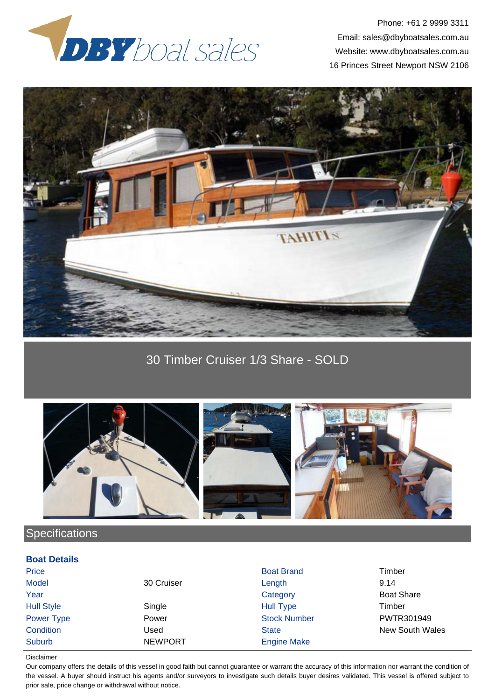

Phone: +61 2 9999 3311 Email: sales@dbyboatsales.com.au Website: www.dbyboatsales.com.au 16 Princes Street Newport NSW 2106



30 Timber Cruiser 1/3 Share - SOLD



## **Specifications**

## **Boat Details**

| Price             |                | <b>Boat Brand</b>   | Timber            |
|-------------------|----------------|---------------------|-------------------|
| <b>Model</b>      | 30 Cruiser     | Length              | 9.14              |
| Year              |                | Category            | <b>Boat Share</b> |
| <b>Hull Style</b> | Single         | <b>Hull Type</b>    | Timber            |
| Power Type        | Power          | <b>Stock Number</b> | PWTR301949        |
| Condition         | Jsed           | <b>State</b>        | New South Wales   |
| Suburb            | <b>NEWPORT</b> | <b>Engine Make</b>  |                   |

## Disclaimer

Our company offers the details of this vessel in good faith but cannot guarantee or warrant the accuracy of this information nor warrant the condition of the vessel. A buyer should instruct his agents and/or surveyors to investigate such details buyer desires validated. This vessel is offered subject to prior sale, price change or withdrawal without notice.